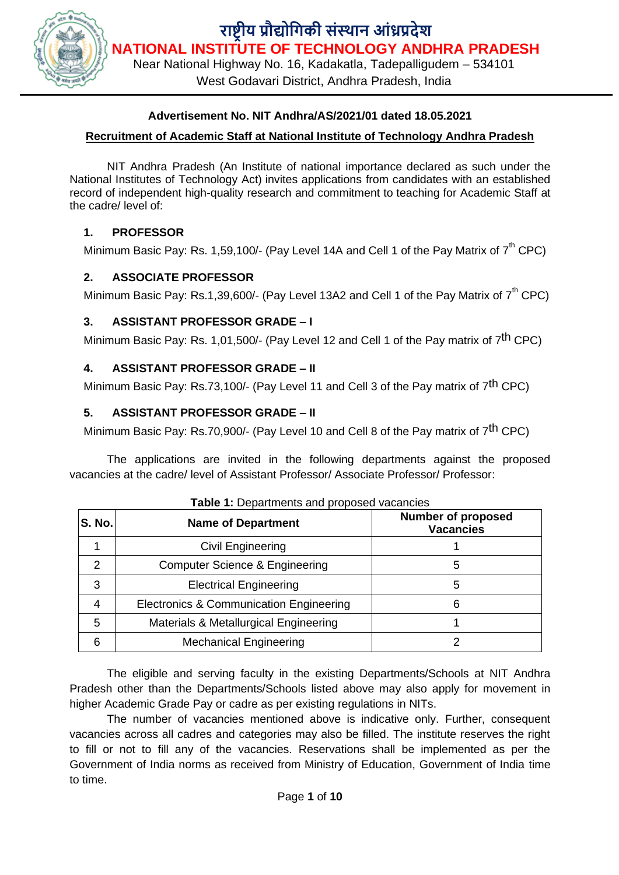

#### **Advertisement No. NIT Andhra/AS/2021/01 dated 18.05.2021**

#### **Recruitment of Academic Staff at National Institute of Technology Andhra Pradesh**

NIT Andhra Pradesh (An Institute of national importance declared as such under the National Institutes of Technology Act) invites applications from candidates with an established record of independent high-quality research and commitment to teaching for Academic Staff at the cadre/ level of:

### **1. PROFESSOR**

Minimum Basic Pay: Rs. 1,59,100/- (Pay Level 14A and Cell 1 of the Pay Matrix of  $7<sup>th</sup>$  CPC)

### **2. ASSOCIATE PROFESSOR**

Minimum Basic Pay: Rs.1,39,600/- (Pay Level 13A2 and Cell 1 of the Pay Matrix of  $7<sup>th</sup>$  CPC)

### **3. ASSISTANT PROFESSOR GRADE – I**

Minimum Basic Pay: Rs. 1,01,500/- (Pay Level 12 and Cell 1 of the Pay matrix of 7<sup>th</sup> CPC)

#### **4. ASSISTANT PROFESSOR GRADE – II**

Minimum Basic Pay: Rs.73,100/- (Pay Level 11 and Cell 3 of the Pay matrix of 7<sup>th</sup> CPC)

### **5. ASSISTANT PROFESSOR GRADE – II**

Minimum Basic Pay: Rs.70,900/- (Pay Level 10 and Cell 8 of the Pay matrix of 7<sup>th</sup> CPC)

The applications are invited in the following departments against the proposed vacancies at the cadre/ level of Assistant Professor/ Associate Professor/ Professor:

| <b>S. No.</b> | <b>Name of Department</b>                    | <b>Number of proposed</b><br><b>Vacancies</b> |
|---------------|----------------------------------------------|-----------------------------------------------|
|               | Civil Engineering                            |                                               |
| $\mathcal{P}$ | Computer Science & Engineering<br>5          |                                               |
| 3             | <b>Electrical Engineering</b><br>5           |                                               |
| 4             | Electronics & Communication Engineering<br>6 |                                               |
| 5             | Materials & Metallurgical Engineering        |                                               |
| 6             | <b>Mechanical Engineering</b>                |                                               |

| Table 1: Departments and proposed vacancies |  |  |  |
|---------------------------------------------|--|--|--|
|---------------------------------------------|--|--|--|

The eligible and serving faculty in the existing Departments/Schools at NIT Andhra Pradesh other than the Departments/Schools listed above may also apply for movement in higher Academic Grade Pay or cadre as per existing regulations in NITs.

The number of vacancies mentioned above is indicative only. Further, consequent vacancies across all cadres and categories may also be filled. The institute reserves the right to fill or not to fill any of the vacancies. Reservations shall be implemented as per the Government of India norms as received from Ministry of Education, Government of India time to time.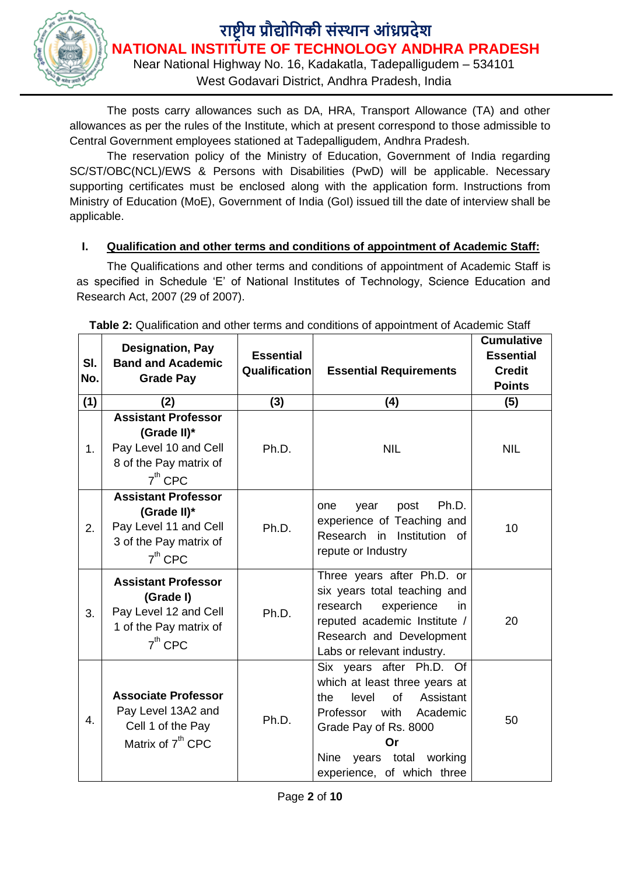

Near National Highway No. 16, Kadakatla, Tadepalligudem – 534101

West Godavari District, Andhra Pradesh, India

The posts carry allowances such as DA, HRA, Transport Allowance (TA) and other allowances as per the rules of the Institute, which at present correspond to those admissible to Central Government employees stationed at Tadepalligudem, Andhra Pradesh.

The reservation policy of the Ministry of Education, Government of India regarding SC/ST/OBC(NCL)/EWS & Persons with Disabilities (PwD) will be applicable. Necessary supporting certificates must be enclosed along with the application form. Instructions from Ministry of Education (MoE), Government of India (GoI) issued till the date of interview shall be applicable.

### **I. Qualification and other terms and conditions of appointment of Academic Staff:**

The Qualifications and other terms and conditions of appointment of Academic Staff is as specified in Schedule 'E' of National Institutes of Technology, Science Education and Research Act, 2007 (29 of 2007).

| SI.<br>No. | <b>Designation, Pay</b><br><b>Band and Academic</b><br><b>Grade Pay</b>                                   | <b>Essential</b><br>Qualification | <b>Essential Requirements</b>                                                                                                                                                                                                    | <b>Cumulative</b><br><b>Essential</b><br><b>Credit</b><br><b>Points</b> |
|------------|-----------------------------------------------------------------------------------------------------------|-----------------------------------|----------------------------------------------------------------------------------------------------------------------------------------------------------------------------------------------------------------------------------|-------------------------------------------------------------------------|
| (1)        | (2)                                                                                                       | (3)                               | (4)                                                                                                                                                                                                                              | (5)                                                                     |
| 1.         | <b>Assistant Professor</b><br>(Grade II)*<br>Pay Level 10 and Cell<br>8 of the Pay matrix of<br>$7th$ CPC | Ph.D.                             | <b>NIL</b>                                                                                                                                                                                                                       | <b>NIL</b>                                                              |
| 2.         | <b>Assistant Professor</b><br>(Grade II)*<br>Pay Level 11 and Cell<br>3 of the Pay matrix of<br>$7th$ CPC | Ph.D.                             | Ph.D.<br>one<br>year<br>post<br>experience of Teaching and<br>Research in Institution of<br>repute or Industry                                                                                                                   | 10                                                                      |
| 3.         | <b>Assistant Professor</b><br>(Grade I)<br>Pay Level 12 and Cell<br>1 of the Pay matrix of<br>$7th$ CPC   | Ph.D.                             | Three years after Ph.D. or<br>six years total teaching and<br>research<br>experience<br>in<br>reputed academic Institute /<br>Research and Development<br>Labs or relevant industry.                                             | 20                                                                      |
| 4.         | <b>Associate Professor</b><br>Pay Level 13A2 and<br>Cell 1 of the Pay<br>Matrix of 7 <sup>th</sup> CPC    | Ph.D.                             | Six years after Ph.D. Of<br>which at least three years at<br>of<br>Assistant<br>the<br>level<br>Professor<br>with<br>Academic<br>Grade Pay of Rs. 8000<br>Or<br><b>Nine</b><br>years total working<br>experience, of which three | 50                                                                      |

**Table 2:** Qualification and other terms and conditions of appointment of Academic Staff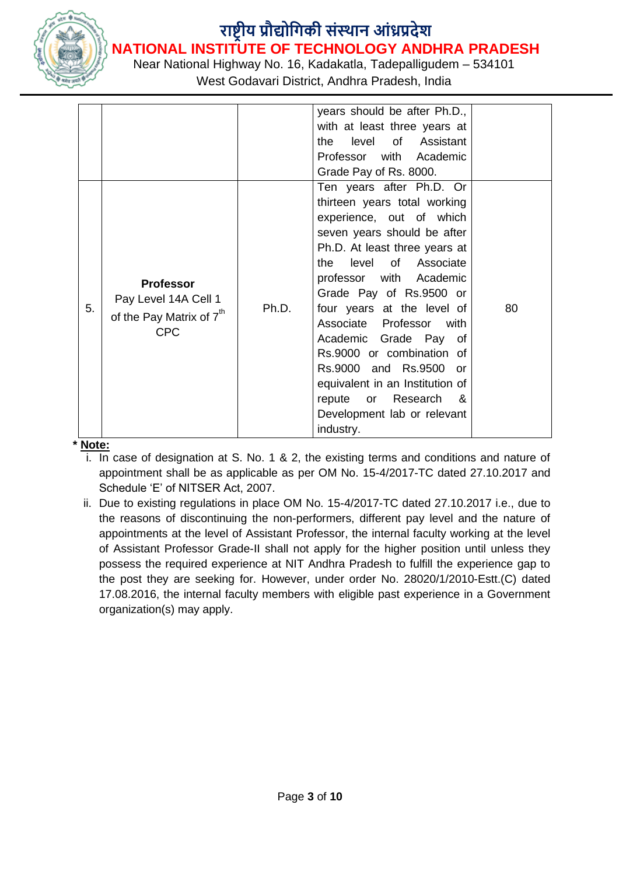

Near National Highway No. 16, Kadakatla, Tadepalligudem – 534101

West Godavari District, Andhra Pradesh, India

|    |                                                                                                |       | years should be after Ph.D.,    |    |
|----|------------------------------------------------------------------------------------------------|-------|---------------------------------|----|
|    |                                                                                                |       | with at least three years at    |    |
|    |                                                                                                |       | level of Assistant<br>the       |    |
|    |                                                                                                |       | Professor with Academic         |    |
|    |                                                                                                |       | Grade Pay of Rs. 8000.          |    |
|    |                                                                                                |       | Ten years after Ph.D. Or        |    |
|    | <b>Professor</b><br>Pay Level 14A Cell 1<br>of the Pay Matrix of 7 <sup>th</sup><br><b>CPC</b> | Ph.D. | thirteen years total working    |    |
|    |                                                                                                |       | experience, out of which        |    |
|    |                                                                                                |       | seven years should be after     |    |
|    |                                                                                                |       | Ph.D. At least three years at   |    |
|    |                                                                                                |       | the level of Associate          |    |
|    |                                                                                                |       | professor with Academic         |    |
|    |                                                                                                |       | Grade Pay of Rs.9500 or         |    |
| 5. |                                                                                                |       | four years at the level of      | 80 |
|    |                                                                                                |       | Associate Professor<br>with     |    |
|    |                                                                                                |       | Academic Grade Pay of           |    |
|    |                                                                                                |       | Rs.9000 or combination of       |    |
|    |                                                                                                |       | Rs.9000 and Rs.9500 or          |    |
|    |                                                                                                |       | equivalent in an Institution of |    |
|    |                                                                                                |       | repute or Research<br>8.        |    |
|    |                                                                                                |       | Development lab or relevant     |    |
|    |                                                                                                |       | industry.                       |    |

**\* Note:**

- i. In case of designation at S. No. 1 & 2, the existing terms and conditions and nature of appointment shall be as applicable as per OM No. 15-4/2017-TC dated 27.10.2017 and Schedule 'E' of NITSER Act, 2007.
- ii. Due to existing regulations in place OM No. 15-4/2017-TC dated 27.10.2017 i.e., due to the reasons of discontinuing the non-performers, different pay level and the nature of appointments at the level of Assistant Professor, the internal faculty working at the level of Assistant Professor Grade-II shall not apply for the higher position until unless they possess the required experience at NIT Andhra Pradesh to fulfill the experience gap to the post they are seeking for. However, under order No. 28020/1/2010-Estt.(C) dated 17.08.2016, the internal faculty members with eligible past experience in a Government organization(s) may apply.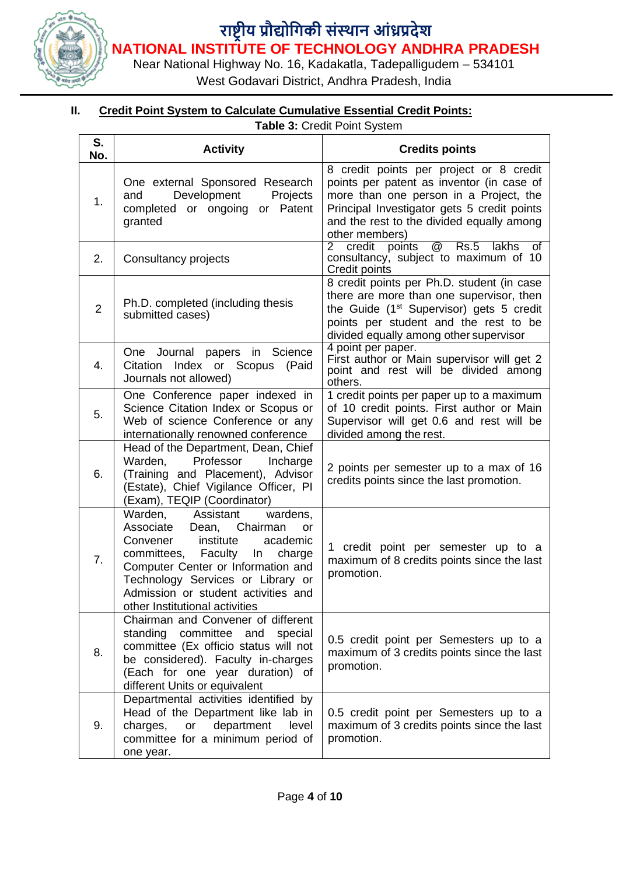

Near National Highway No. 16, Kadakatla, Tadepalligudem – 534101

West Godavari District, Andhra Pradesh, India

### **II. Credit Point System to Calculate Cumulative Essential Credit Points:**

**Table 3:** Credit Point System

| S.<br>No.      | <b>Activity</b>                                                                                                                                                                                                                                                                                          | <b>Credits points</b>                                                                                                                                                                                                                        |
|----------------|----------------------------------------------------------------------------------------------------------------------------------------------------------------------------------------------------------------------------------------------------------------------------------------------------------|----------------------------------------------------------------------------------------------------------------------------------------------------------------------------------------------------------------------------------------------|
| 1.             | One external Sponsored Research<br>Development<br>Projects<br>and<br>completed or ongoing<br>or Patent<br>granted                                                                                                                                                                                        | 8 credit points per project or 8 credit<br>points per patent as inventor (in case of<br>more than one person in a Project, the<br>Principal Investigator gets 5 credit points<br>and the rest to the divided equally among<br>other members) |
| 2.             | Consultancy projects                                                                                                                                                                                                                                                                                     | @<br>Rs.5<br><b>lakhs</b><br>$\overline{2}$<br>credit<br>points<br>$\overline{of}$<br>consultancy, subject to maximum of 10<br>Credit points                                                                                                 |
| $\overline{2}$ | Ph.D. completed (including thesis<br>submitted cases)                                                                                                                                                                                                                                                    | 8 credit points per Ph.D. student (in case<br>there are more than one supervisor, then<br>the Guide (1 <sup>st</sup> Supervisor) gets 5 credit<br>points per student and the rest to be<br>divided equally among other supervisor            |
| 4.             | Science<br>One Journal<br>papers in<br>Citation Index or Scopus<br>(Paid<br>Journals not allowed)                                                                                                                                                                                                        | 4 point per paper.<br>First author or Main supervisor will get 2<br>point and rest will be divided among<br>others.                                                                                                                          |
| 5.             | One Conference paper indexed in<br>Science Citation Index or Scopus or<br>Web of science Conference or any<br>internationally renowned conference                                                                                                                                                        | 1 credit points per paper up to a maximum<br>of 10 credit points. First author or Main<br>Supervisor will get 0.6 and rest will be<br>divided among the rest.                                                                                |
| 6.             | Head of the Department, Dean, Chief<br>Professor<br>Warden,<br>Incharge<br>(Training and Placement), Advisor<br>(Estate), Chief Vigilance Officer, PI<br>(Exam), TEQIP (Coordinator)                                                                                                                     | 2 points per semester up to a max of 16<br>credits points since the last promotion.                                                                                                                                                          |
| 7 <sub>1</sub> | Warden,<br>Assistant<br>wardens,<br>Associate<br>Chairman<br>Dean,<br>or<br>institute<br>Convener<br>academic<br>committees, Faculty<br>ln<br>charge<br>Computer Center or Information and<br>Technology Services or Library or<br>Admission or student activities and<br>other Institutional activities | 1 credit point per semester up to a<br>maximum of 8 credits points since the last<br>promotion.                                                                                                                                              |
| 8.             | Chairman and Convener of different<br>standing committee<br>and<br>special<br>committee (Ex officio status will not<br>be considered). Faculty in-charges<br>(Each for one year duration) of<br>different Units or equivalent                                                                            | 0.5 credit point per Semesters up to a<br>maximum of 3 credits points since the last<br>promotion.                                                                                                                                           |
| 9.             | Departmental activities identified by<br>Head of the Department like lab in<br>department<br>charges,<br>or<br>level<br>committee for a minimum period of<br>one year.                                                                                                                                   | 0.5 credit point per Semesters up to a<br>maximum of 3 credits points since the last<br>promotion.                                                                                                                                           |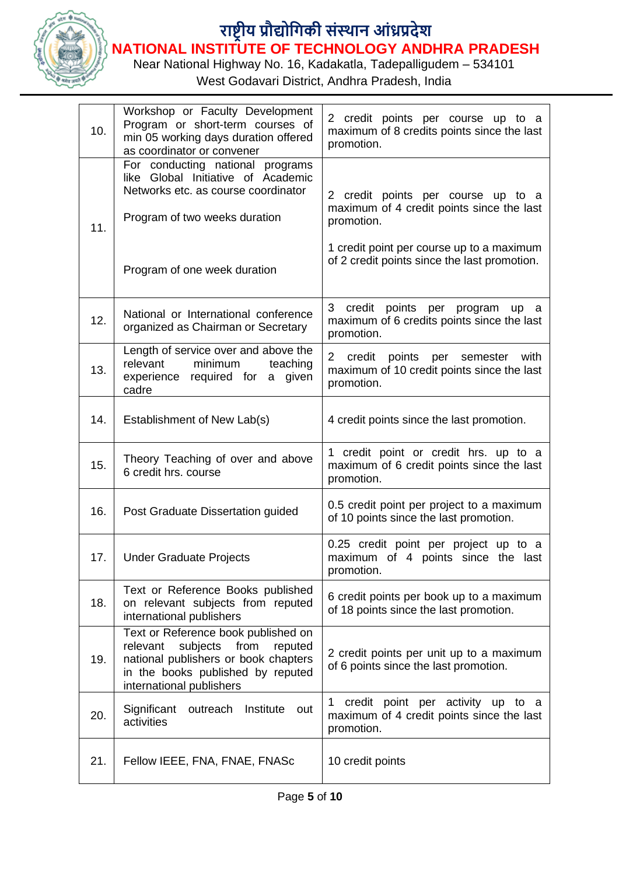

Near National Highway No. 16, Kadakatla, Tadepalligudem – 534101

West Godavari District, Andhra Pradesh, India

| 10. | Workshop or Faculty Development<br>Program or short-term courses of<br>min 05 working days duration offered<br>as coordinator or convener                                               | 2 credit points per course up to a<br>maximum of 8 credits points since the last<br>promotion.                                                                                             |
|-----|-----------------------------------------------------------------------------------------------------------------------------------------------------------------------------------------|--------------------------------------------------------------------------------------------------------------------------------------------------------------------------------------------|
| 11. | For conducting national programs<br>like Global Initiative of Academic<br>Networks etc. as course coordinator<br>Program of two weeks duration<br>Program of one week duration          | 2 credit points per course up to a<br>maximum of 4 credit points since the last<br>promotion.<br>1 credit point per course up to a maximum<br>of 2 credit points since the last promotion. |
| 12. | National or International conference<br>organized as Chairman or Secretary                                                                                                              | 3<br>credit<br>points per program<br>up a<br>maximum of 6 credits points since the last<br>promotion.                                                                                      |
| 13. | Length of service over and above the<br>minimum<br>relevant<br>teaching<br>experience required for a given<br>cadre                                                                     | credit points per<br>2<br>semester<br>with<br>maximum of 10 credit points since the last<br>promotion.                                                                                     |
| 14. | Establishment of New Lab(s)                                                                                                                                                             | 4 credit points since the last promotion.                                                                                                                                                  |
| 15. | Theory Teaching of over and above<br>6 credit hrs. course                                                                                                                               | 1 credit point or credit hrs. up to a<br>maximum of 6 credit points since the last<br>promotion.                                                                                           |
| 16. | Post Graduate Dissertation guided                                                                                                                                                       | 0.5 credit point per project to a maximum<br>of 10 points since the last promotion.                                                                                                        |
| 17. | <b>Under Graduate Projects</b>                                                                                                                                                          | 0.25 credit point per project up to a<br>maximum of 4 points since the last<br>promotion.                                                                                                  |
| 18. | Text or Reference Books published<br>on relevant subjects from reputed<br>international publishers                                                                                      | 6 credit points per book up to a maximum<br>of 18 points since the last promotion.                                                                                                         |
| 19. | Text or Reference book published on<br>subjects<br>from<br>relevant<br>reputed<br>national publishers or book chapters<br>in the books published by reputed<br>international publishers | 2 credit points per unit up to a maximum<br>of 6 points since the last promotion.                                                                                                          |
| 20. | Significant<br>Institute<br>outreach<br>out<br>activities                                                                                                                               | credit point per activity up to a<br>1<br>maximum of 4 credit points since the last<br>promotion.                                                                                          |
| 21. | Fellow IEEE, FNA, FNAE, FNASc                                                                                                                                                           | 10 credit points                                                                                                                                                                           |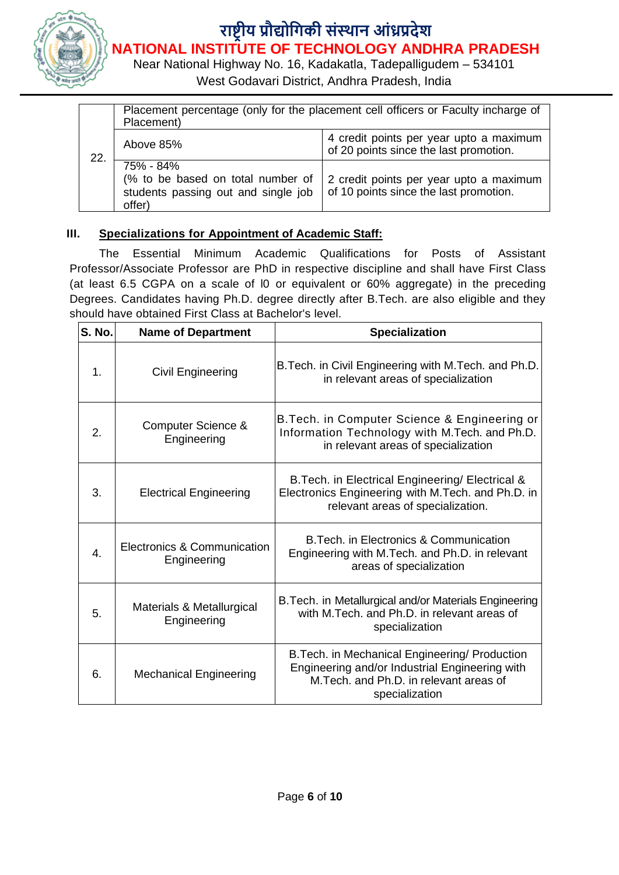

Near National Highway No. 16, Kadakatla, Tadepalligudem – 534101

West Godavari District, Andhra Pradesh, India

| 22. | Placement percentage (only for the placement cell officers or Faculty incharge of<br>Placement) |                                                                                   |  |
|-----|-------------------------------------------------------------------------------------------------|-----------------------------------------------------------------------------------|--|
|     | Above 85%                                                                                       | 4 credit points per year upto a maximum<br>of 20 points since the last promotion. |  |
|     | 75% - 84%<br>(% to be based on total number of<br>students passing out and single job<br>offer) | 2 credit points per year upto a maximum<br>of 10 points since the last promotion. |  |

### **III. Specializations for Appointment of Academic Staff:**

The Essential Minimum Academic Qualifications for Posts of Assistant Professor/Associate Professor are PhD in respective discipline and shall have First Class (at least 6.5 CGPA on a scale of l0 or equivalent or 60% aggregate) in the preceding Degrees. Candidates having Ph.D. degree directly after B.Tech. are also eligible and they should have obtained First Class at Bachelor's level.

| <b>S. No.</b>    | <b>Name of Department</b>                    | <b>Specialization</b>                                                                                                                                         |
|------------------|----------------------------------------------|---------------------------------------------------------------------------------------------------------------------------------------------------------------|
| $\mathbf{1}$ .   | Civil Engineering                            | B. Tech. in Civil Engineering with M. Tech. and Ph.D.<br>in relevant areas of specialization                                                                  |
| 2.               | <b>Computer Science &amp;</b><br>Engineering | B. Tech. in Computer Science & Engineering or<br>Information Technology with M.Tech. and Ph.D.<br>in relevant areas of specialization                         |
| 3.               | <b>Electrical Engineering</b>                | B. Tech. in Electrical Engineering/ Electrical &<br>Electronics Engineering with M.Tech. and Ph.D. in<br>relevant areas of specialization.                    |
| $\overline{4}$ . | Electronics & Communication<br>Engineering   | B. Tech. in Electronics & Communication<br>Engineering with M.Tech. and Ph.D. in relevant<br>areas of specialization                                          |
| 5.               | Materials & Metallurgical<br>Engineering     | B. Tech. in Metallurgical and/or Materials Engineering<br>with M.Tech. and Ph.D. in relevant areas of<br>specialization                                       |
| 6.               | <b>Mechanical Engineering</b>                | B. Tech. in Mechanical Engineering/ Production<br>Engineering and/or Industrial Engineering with<br>M. Tech. and Ph.D. in relevant areas of<br>specialization |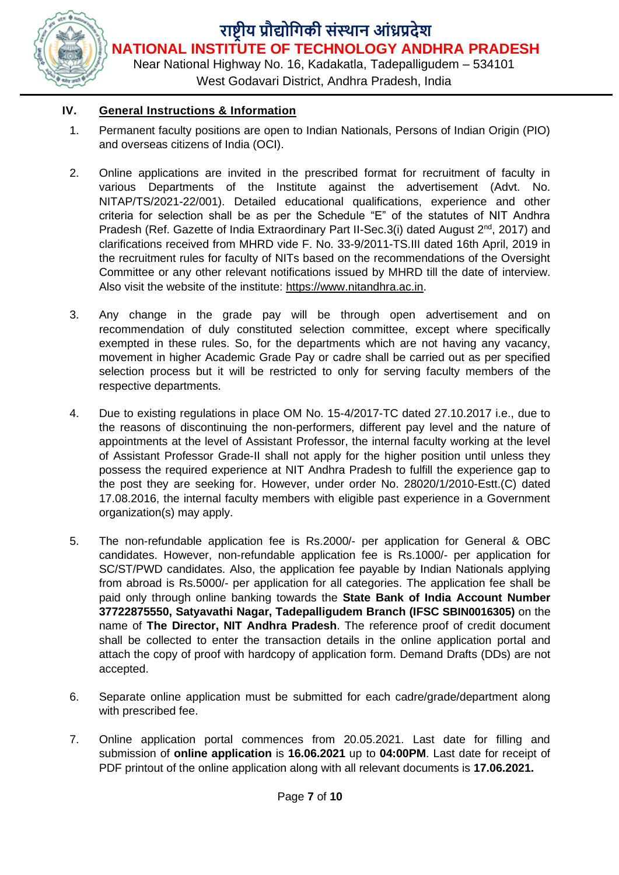

West Godavari District, Andhra Pradesh, India

### **IV. General Instructions & Information**

- 1. Permanent faculty positions are open to Indian Nationals, Persons of Indian Origin (PIO) and overseas citizens of India (OCI).
- 2. Online applications are invited in the prescribed format for recruitment of faculty in various Departments of the Institute against the advertisement (Advt. No. NITAP/TS/2021-22/001). Detailed educational qualifications, experience and other criteria for selection shall be as per the Schedule "E" of the statutes of NIT Andhra Pradesh (Ref. Gazette of India Extraordinary Part II-Sec.3(i) dated August  $2^{nd}$ , 2017) and clarifications received from MHRD vide F. No. 33-9/2011-TS.III dated 16th April, 2019 in the recruitment rules for faculty of NITs based on the recommendations of the Oversight Committee or any other relevant notifications issued by MHRD till the date of interview. Also visit the website of the institute: [https://www.nitandhra.ac.in.](https://www.nitandhra.ac.in/)
- 3. Any change in the grade pay will be through open advertisement and on recommendation of duly constituted selection committee, except where specifically exempted in these rules. So, for the departments which are not having any vacancy, movement in higher Academic Grade Pay or cadre shall be carried out as per specified selection process but it will be restricted to only for serving faculty members of the respective departments.
- 4. Due to existing regulations in place OM No. 15-4/2017-TC dated 27.10.2017 i.e., due to the reasons of discontinuing the non-performers, different pay level and the nature of appointments at the level of Assistant Professor, the internal faculty working at the level of Assistant Professor Grade-II shall not apply for the higher position until unless they possess the required experience at NIT Andhra Pradesh to fulfill the experience gap to the post they are seeking for. However, under order No. 28020/1/2010-Estt.(C) dated 17.08.2016, the internal faculty members with eligible past experience in a Government organization(s) may apply.
- 5. The non-refundable application fee is Rs.2000/- per application for General & OBC candidates. However, non-refundable application fee is Rs.1000/- per application for SC/ST/PWD candidates. Also, the application fee payable by Indian Nationals applying from abroad is Rs.5000/- per application for all categories. The application fee shall be paid only through online banking towards the **State Bank of India Account Number 37722875550, Satyavathi Nagar, Tadepalligudem Branch (IFSC SBIN0016305)** on the name of **The Director, NIT Andhra Pradesh**. The reference proof of credit document shall be collected to enter the transaction details in the online application portal and attach the copy of proof with hardcopy of application form. Demand Drafts (DDs) are not accepted.
- 6. Separate online application must be submitted for each cadre/grade/department along with prescribed fee.
- 7. Online application portal commences from 20.05.2021. Last date for filling and submission of **online application** is **16.06.2021** up to **04:00PM**. Last date for receipt of PDF printout of the online application along with all relevant documents is **17.06.2021.**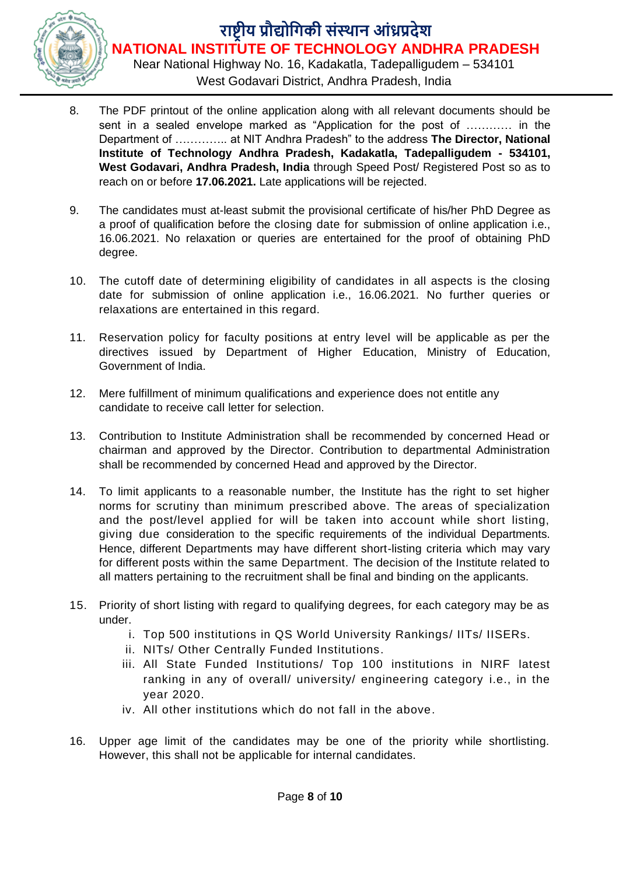

Near National Highway No. 16, Kadakatla, Tadepalligudem – 534101 West Godavari District, Andhra Pradesh, India

- 8. The PDF printout of the online application along with all relevant documents should be sent in a sealed envelope marked as "Application for the post of ………… in the Department of ………….. at NIT Andhra Pradesh" to the address **The Director, National Institute of Technology Andhra Pradesh, Kadakatla, Tadepalligudem - 534101, West Godavari, Andhra Pradesh, India** through Speed Post/ Registered Post so as to reach on or before **17.06.2021.** Late applications will be rejected.
- 9. The candidates must at-least submit the provisional certificate of his/her PhD Degree as a proof of qualification before the closing date for submission of online application i.e., 16.06.2021. No relaxation or queries are entertained for the proof of obtaining PhD degree.
- 10. The cutoff date of determining eligibility of candidates in all aspects is the closing date for submission of online application i.e., 16.06.2021. No further queries or relaxations are entertained in this regard.
- 11. Reservation policy for faculty positions at entry level will be applicable as per the directives issued by Department of Higher Education, Ministry of Education, Government of India.
- 12. Mere fulfillment of minimum qualifications and experience does not entitle any candidate to receive call letter for selection.
- 13. Contribution to Institute Administration shall be recommended by concerned Head or chairman and approved by the Director. Contribution to departmental Administration shall be recommended by concerned Head and approved by the Director.
- 14. To limit applicants to a reasonable number, the Institute has the right to set higher norms for scrutiny than minimum prescribed above. The areas of specialization and the post/level applied for will be taken into account while short listing, giving due consideration to the specific requirements of the individual Departments. Hence, different Departments may have different short-listing criteria which may vary for different posts within the same Department. The decision of the Institute related to all matters pertaining to the recruitment shall be final and binding on the applicants.
- 15. Priority of short listing with regard to qualifying degrees, for each category may be as under.
	- i. Top 500 institutions in QS World University Rankings/ IITs/ IISERs.
	- ii. NITs/ Other Centrally Funded Institutions.
	- iii. All State Funded Institutions/ Top 100 institutions in NIRF latest ranking in any of overall/ university/ engineering category i.e., in the year 2020.
	- iv. All other institutions which do not fall in the above.
- 16. Upper age limit of the candidates may be one of the priority while shortlisting. However, this shall not be applicable for internal candidates.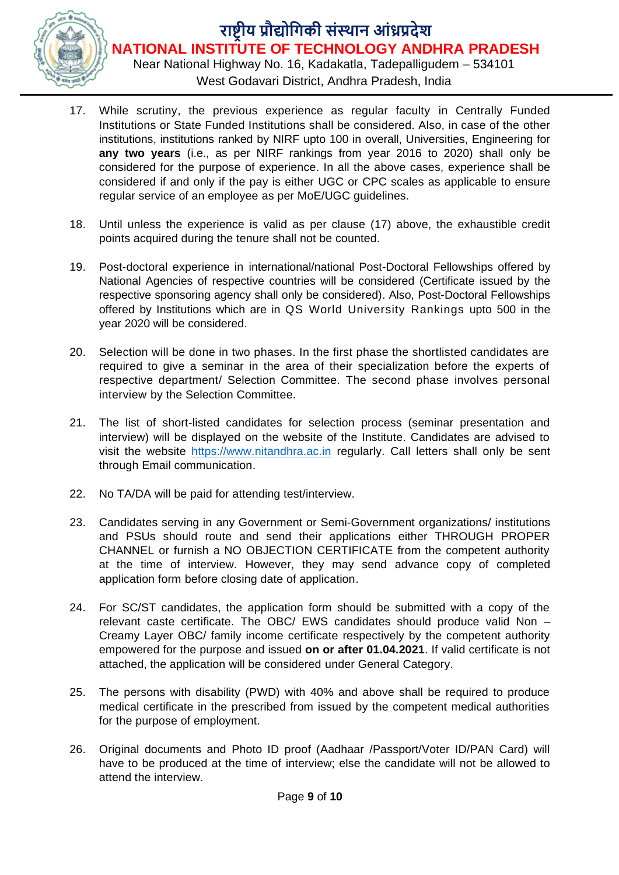

Near National Highway No. 16, Kadakatla, Tadepalligudem – 534101 West Godavari District, Andhra Pradesh, India

- 17. While scrutiny, the previous experience as regular faculty in Centrally Funded Institutions or State Funded Institutions shall be considered. Also, in case of the other institutions, institutions ranked by NIRF upto 100 in overall, Universities, Engineering for **any two years** (i.e., as per NIRF rankings from year 2016 to 2020) shall only be considered for the purpose of experience. In all the above cases, experience shall be considered if and only if the pay is either UGC or CPC scales as applicable to ensure regular service of an employee as per MoE/UGC guidelines.
- 18. Until unless the experience is valid as per clause (17) above, the exhaustible credit points acquired during the tenure shall not be counted.
- 19. Post-doctoral experience in international/national Post-Doctoral Fellowships offered by National Agencies of respective countries will be considered (Certificate issued by the respective sponsoring agency shall only be considered). Also, Post-Doctoral Fellowships offered by Institutions which are in QS World University Rankings upto 500 in the year 2020 will be considered.
- 20. Selection will be done in two phases. In the first phase the shortlisted candidates are required to give a seminar in the area of their specialization before the experts of respective department/ Selection Committee. The second phase involves personal interview by the Selection Committee.
- 21. The list of short-listed candidates for selection process (seminar presentation and interview) will be displayed on the website of the Institute. Candidates are advised to visit the website [https://www.nitandhra.ac.in](https://www.nitandhra.ac.in/) regularly. Call letters shall only be sent through Email communication.
- 22. No TA/DA will be paid for attending test/interview.
- 23. Candidates serving in any Government or Semi-Government organizations/ institutions and PSUs should route and send their applications either THROUGH PROPER CHANNEL or furnish a NO OBJECTION CERTIFICATE from the competent authority at the time of interview. However, they may send advance copy of completed application form before closing date of application.
- 24. For SC/ST candidates, the application form should be submitted with a copy of the relevant caste certificate. The OBC/ EWS candidates should produce valid Non – Creamy Layer OBC/ family income certificate respectively by the competent authority empowered for the purpose and issued **on or after 01.04.2021**. If valid certificate is not attached, the application will be considered under General Category.
- 25. The persons with disability (PWD) with 40% and above shall be required to produce medical certificate in the prescribed from issued by the competent medical authorities for the purpose of employment.
- 26. Original documents and Photo ID proof (Aadhaar /Passport/Voter ID/PAN Card) will have to be produced at the time of interview; else the candidate will not be allowed to attend the interview.